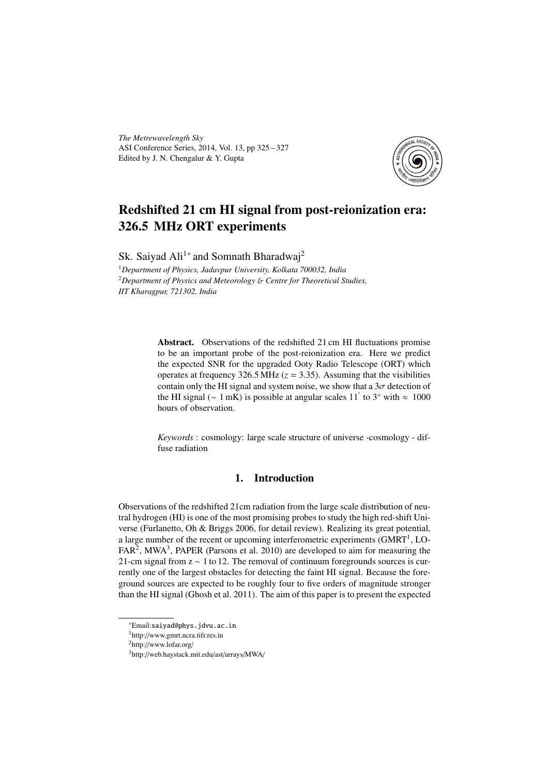*The Metrewavelength Sky* ASI Conference Series, 2014, Vol. 13, pp 325 – 327 Edited by J. N. Chengalur & Y. Gupta



# Redshifted 21 cm HI signal from post-reionization era: 326.5 MHz ORT experiments

Sk. Saiyad Ali<sup>1</sup><sup>∗</sup> and Somnath Bharadwaj<sup>2</sup>

<sup>1</sup>*Department of Physics, Jadavpur University, Kolkata 700032, India* <sup>2</sup>*Department of Physics and Meteorology* & *Centre for Theoretical Studies, IIT Kharagpur, 721302, India*

> Abstract. Observations of the redshifted 21 cm HI fluctuations promise to be an important probe of the post-reionization era. Here we predict the expected SNR for the upgraded Ooty Radio Telescope (ORT) which operates at frequency  $326.5 \text{ MHz } (z = 3.35)$ . Assuming that the visibilities contain only the HI signal and system noise, we show that a  $3\sigma$  detection of the HI signal ( $\sim 1 \text{ mK}$ ) is possible at angular scales 11<sup>'</sup> to 3° with  $\approx 1000$ hours of observation.

> *Keywords* : cosmology: large scale structure of universe -cosmology - diffuse radiation

# 1. Introduction

Observations of the redshifted 21cm radiation from the large scale distribution of neutral hydrogen (HI) is one of the most promising probes to study the high red-shift Universe (Furlanetto, Oh & Briggs 2006, for detail review). Realizing its great potential, a large number of the recent or upcoming interferometric experiments (GMRT<sup>1</sup>, LO- $FAR<sup>2</sup>$ , MWA<sup>3</sup>, PAPER (Parsons et al. 2010) are developed to aim for measuring the 21-cm signal from z ∼ 1 to 12. The removal of continuum foregrounds sources is currently one of the largest obstacles for detecting the faint HI signal. Because the foreground sources are expected to be roughly four to five orders of magnitude stronger than the HI signal (Ghosh et al. 2011). The aim of this paper is to present the expected

<sup>∗</sup>Email:saiyad@phys.jdvu.ac.in

<sup>1</sup>http://www.gmrt.ncra.tifr.res.in

<sup>2</sup>http://www.lofar.org/

<sup>3</sup>http://web.haystack.mit.edu/ast/arrays/MWA/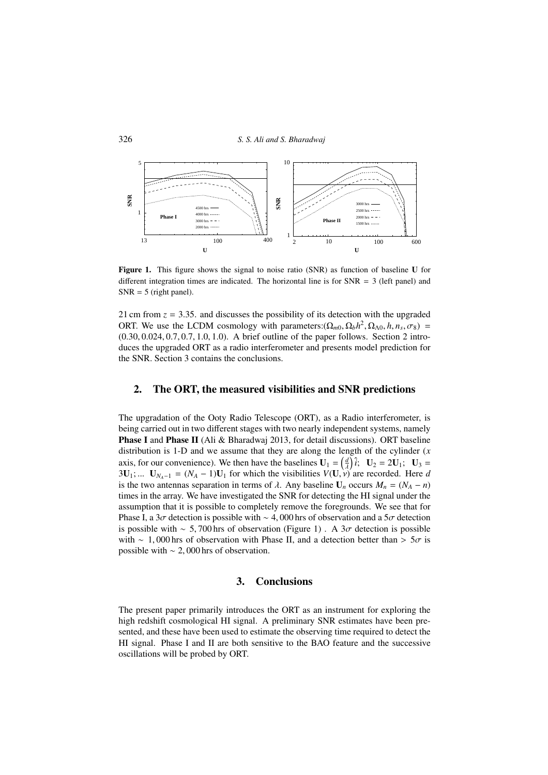

Figure 1. This figure shows the signal to noise ratio (SNR) as function of baseline U for different integration times are indicated. The horizontal line is for  $SNR = 3$  (left panel) and  $SNR = 5$  (right panel).

21 cm from  $z = 3.35$ . and discusses the possibility of its detection with the upgraded ORT. We use the LCDM cosmology with parameters:  $(\Omega_{m0}, \Omega_b h^2, \Omega_{\Lambda 0}, h, n_s, \sigma_8)$  = (0.30, 0.024, 0.7, 0.7, 1.0, 1.0). A brief outline of the paper follows. Section 2 introduces the upgraded ORT as a radio interferometer and presents model prediction for the SNR. Section 3 contains the conclusions.

## 2. The ORT, the measured visibilities and SNR predictions

The upgradation of the Ooty Radio Telescope (ORT), as a Radio interferometer, is being carried out in two different stages with two nearly independent systems, namely Phase I and Phase II (Ali & Bharadwaj 2013, for detail discussions). ORT baseline distribution is 1-D and we assume that they are along the length of the cylinder (*x* axis, for our convenience). We then have the baselines  $U_1 = \left(\frac{d}{\lambda}\right)\hat{i}$ ;  $U_2 = 2U_1$ ;  $U_3 =$  $3U_1$ ; ...  $U_{N_A-1} = (N_A - 1)U_1$  for which the visibilities  $V(U, v)$  are recorded. Here *d* is the two antennas separation in terms of  $\lambda$ . Any baseline  $U_n$  occurs  $M_n = (N_A - n)$ times in the array. We have investigated the SNR for detecting the HI signal under the assumption that it is possible to completely remove the foregrounds. We see that for Phase I, a 3σ detection is possible with ∼ 4,000 hrs of observation and a 5σ detection is possible with ~ 5,700 hrs of observation (Figure 1). A  $3\sigma$  detection is possible with ~ 1,000 hrs of observation with Phase II, and a detection better than >  $5\sigma$  is possible with ∼ 2, 000 hrs of observation.

### 3. Conclusions

The present paper primarily introduces the ORT as an instrument for exploring the high redshift cosmological HI signal. A preliminary SNR estimates have been presented, and these have been used to estimate the observing time required to detect the HI signal. Phase I and II are both sensitive to the BAO feature and the successive oscillations will be probed by ORT.